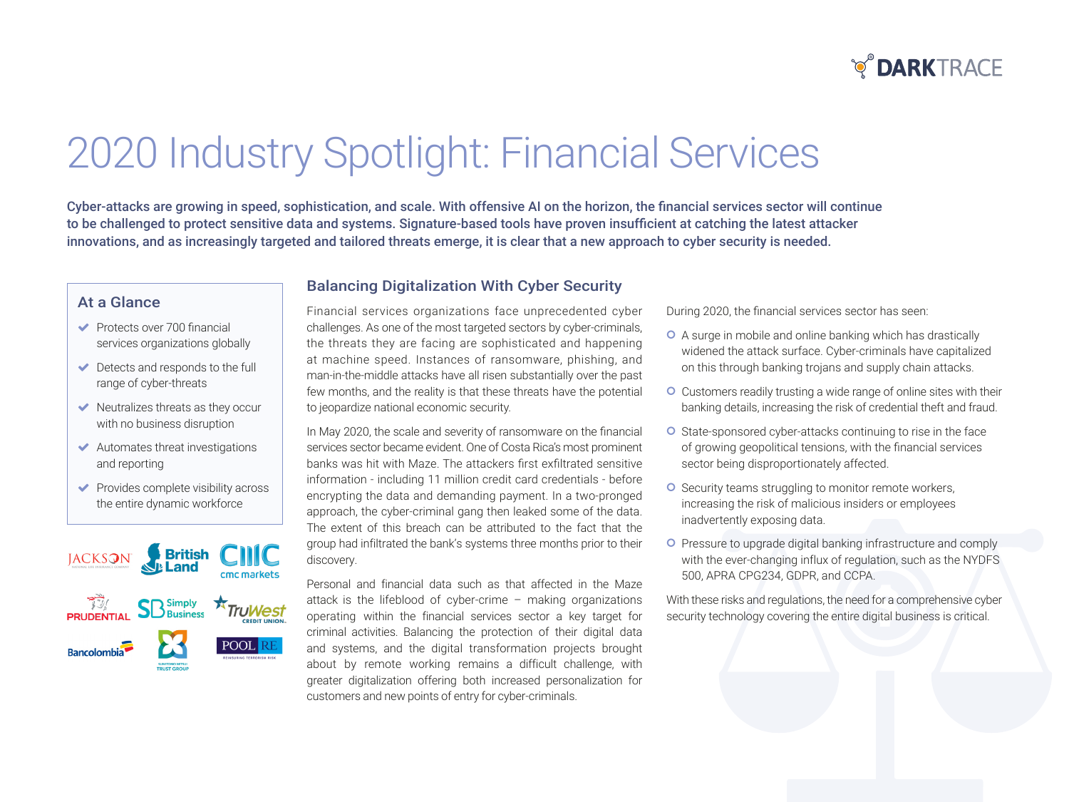

# 2020 Industry Spotlight: Financial Services

Cyber-attacks are growing in speed, sophistication, and scale. With offensive AI on the horizon, the financial services sector will continue to be challenged to protect sensitive data and systems. Signature-based tools have proven insufficient at catching the latest attacker innovations, and as increasingly targeted and tailored threats emerge, it is clear that a new approach to cyber security is needed.

#### At a Glance

- $\blacktriangleright$  Protects over 700 financial services organizations globally
- $\blacktriangleright$  Detects and responds to the full range of cyber-threats
- $\blacktriangleright$  Neutralizes threats as they occur with no business disruption
- $\blacktriangleright$  Automates threat investigations and reporting
- $\blacktriangleright$  Provides complete visibility across the entire dynamic workforce



#### **Balancing Digitalization With Cyber Security**

Financial services organizations face unprecedented cyber challenges. As one of the most targeted sectors by cyber-criminals, the threats they are facing are sophisticated and happening at machine speed. Instances of ransomware, phishing, and man-in-the-middle attacks have all risen substantially over the past few months, and the reality is that these threats have the potential to jeopardize national economic security.

In May 2020, the scale and severity of ransomware on the financial services sector became evident. One of Costa Rica's most prominent banks was hit with Maze. The attackers first exfiltrated sensitive information - including 11 million credit card credentials - before encrypting the data and demanding payment. In a two-pronged approach, the cyber-criminal gang then leaked some of the data. The extent of this breach can be attributed to the fact that the group had infiltrated the bank's systems three months prior to their discovery.

Personal and financial data such as that affected in the Maze attack is the lifeblood of cyber-crime – making organizations operating within the financial services sector a key target for criminal activities. Balancing the protection of their digital data and systems, and the digital transformation projects brought about by remote working remains a difficult challenge, with greater digitalization offering both increased personalization for customers and new points of entry for cyber-criminals.

During 2020, the financial services sector has seen:

- O A surge in mobile and online banking which has drastically widened the attack surface. Cyber-criminals have capitalized on this through banking trojans and supply chain attacks.
- O Customers readily trusting a wide range of online sites with their banking details, increasing the risk of credential theft and fraud.
- **O** State-sponsored cyber-attacks continuing to rise in the face of growing geopolitical tensions, with the financial services sector being disproportionately affected.
- **O** Security teams struggling to monitor remote workers, increasing the risk of malicious insiders or employees inadvertently exposing data.
- **O** Pressure to upgrade digital banking infrastructure and comply with the ever-changing influx of regulation, such as the NYDFS 500, APRA CPG234, GDPR, and CCPA.

With these risks and regulations, the need for a comprehensive cyber security technology covering the entire digital business is critical.